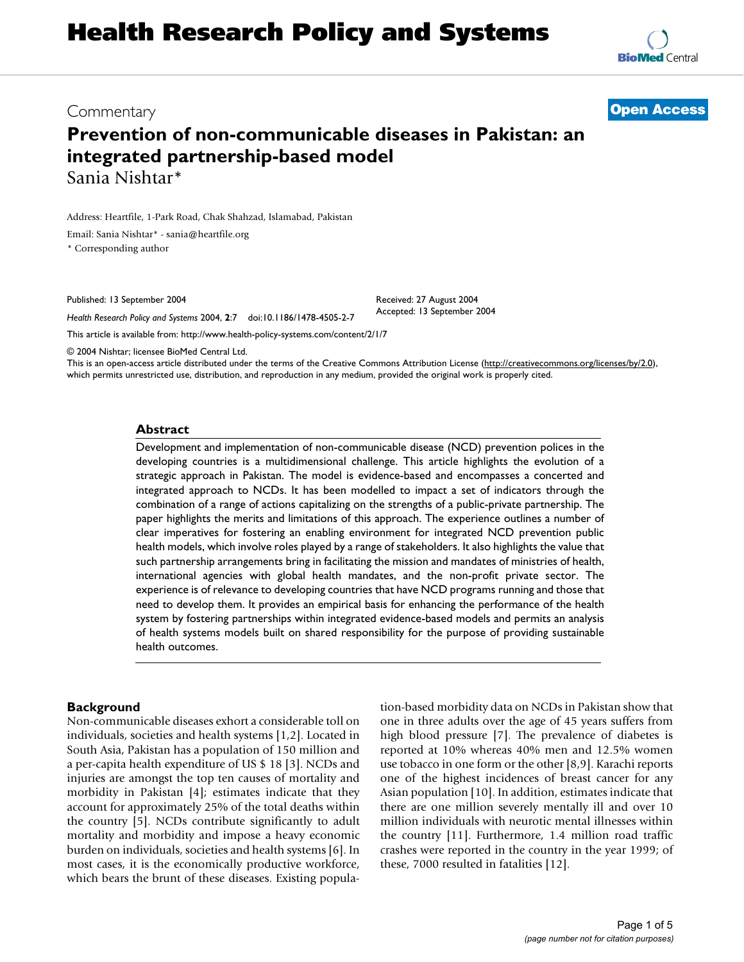# **Health Research Policy and Systems**

**[BioMed](http://www.biomedcentral.com/)** Central

### Commentary **[Open Access](http://www.biomedcentral.com/info/about/charter/)**

## **Prevention of non-communicable diseases in Pakistan: an integrated partnership-based model** Sania Nishtar\*

Address: Heartfile, 1-Park Road, Chak Shahzad, Islamabad, Pakistan

Email: Sania Nishtar\* - sania@heartfile.org

\* Corresponding author

Published: 13 September 2004

*Health Research Policy and Systems* 2004, **2**:7 doi:10.1186/1478-4505-2-7

[This article is available from: http://www.health-policy-systems.com/content/2/1/7](http://www.health-policy-systems.com/content/2/1/7)

© 2004 Nishtar; licensee BioMed Central Ltd.

This is an open-access article distributed under the terms of the Creative Commons Attribution License (<http://creativecommons.org/licenses/by/2.0>), which permits unrestricted use, distribution, and reproduction in any medium, provided the original work is properly cited.

Received: 27 August 2004 Accepted: 13 September 2004

#### **Abstract**

Development and implementation of non-communicable disease (NCD) prevention polices in the developing countries is a multidimensional challenge. This article highlights the evolution of a strategic approach in Pakistan. The model is evidence-based and encompasses a concerted and integrated approach to NCDs. It has been modelled to impact a set of indicators through the combination of a range of actions capitalizing on the strengths of a public-private partnership. The paper highlights the merits and limitations of this approach. The experience outlines a number of clear imperatives for fostering an enabling environment for integrated NCD prevention public health models, which involve roles played by a range of stakeholders. It also highlights the value that such partnership arrangements bring in facilitating the mission and mandates of ministries of health, international agencies with global health mandates, and the non-profit private sector. The experience is of relevance to developing countries that have NCD programs running and those that need to develop them. It provides an empirical basis for enhancing the performance of the health system by fostering partnerships within integrated evidence-based models and permits an analysis of health systems models built on shared responsibility for the purpose of providing sustainable health outcomes.

#### **Background**

Non-communicable diseases exhort a considerable toll on individuals, societies and health systems [1,2]. Located in South Asia, Pakistan has a population of 150 million and a per-capita health expenditure of US \$ 18 [3]. NCDs and injuries are amongst the top ten causes of mortality and morbidity in Pakistan [4]; estimates indicate that they account for approximately 25% of the total deaths within the country [5]. NCDs contribute significantly to adult mortality and morbidity and impose a heavy economic burden on individuals, societies and health systems [6]. In most cases, it is the economically productive workforce, which bears the brunt of these diseases. Existing population-based morbidity data on NCDs in Pakistan show that one in three adults over the age of 45 years suffers from high blood pressure [7]. The prevalence of diabetes is reported at 10% whereas 40% men and 12.5% women use tobacco in one form or the other [8,9]. Karachi reports one of the highest incidences of breast cancer for any Asian population [10]. In addition, estimates indicate that there are one million severely mentally ill and over 10 million individuals with neurotic mental illnesses within the country [11]. Furthermore, 1.4 million road traffic crashes were reported in the country in the year 1999; of these, 7000 resulted in fatalities [12].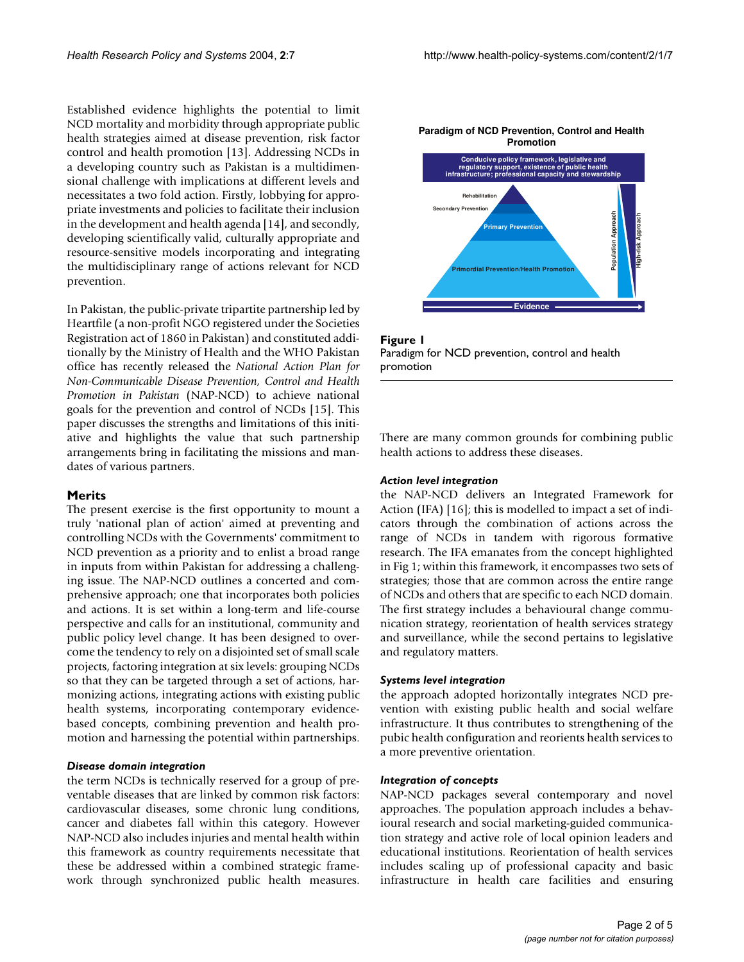Established evidence highlights the potential to limit NCD mortality and morbidity through appropriate public health strategies aimed at disease prevention, risk factor control and health promotion [13]. Addressing NCDs in a developing country such as Pakistan is a multidimensional challenge with implications at different levels and necessitates a two fold action. Firstly, lobbying for appropriate investments and policies to facilitate their inclusion in the development and health agenda [14], and secondly, developing scientifically valid, culturally appropriate and resource-sensitive models incorporating and integrating the multidisciplinary range of actions relevant for NCD prevention.

In Pakistan, the public-private tripartite partnership led by Heartfile (a non-profit NGO registered under the Societies Registration act of 1860 in Pakistan) and constituted additionally by the Ministry of Health and the WHO Pakistan office has recently released the *National Action Plan for Non-Communicable Disease Prevention, Control and Health Promotion in Pakistan* (NAP-NCD) to achieve national goals for the prevention and control of NCDs [15]. This paper discusses the strengths and limitations of this initiative and highlights the value that such partnership arrangements bring in facilitating the missions and mandates of various partners.

#### **Merits**

The present exercise is the first opportunity to mount a truly 'national plan of action' aimed at preventing and controlling NCDs with the Governments' commitment to NCD prevention as a priority and to enlist a broad range in inputs from within Pakistan for addressing a challenging issue. The NAP-NCD outlines a concerted and comprehensive approach; one that incorporates both policies and actions. It is set within a long-term and life-course perspective and calls for an institutional, community and public policy level change. It has been designed to overcome the tendency to rely on a disjointed set of small scale projects, factoring integration at six levels: grouping NCDs so that they can be targeted through a set of actions, harmonizing actions, integrating actions with existing public health systems, incorporating contemporary evidencebased concepts, combining prevention and health promotion and harnessing the potential within partnerships.

#### *Disease domain integration*

the term NCDs is technically reserved for a group of preventable diseases that are linked by common risk factors: cardiovascular diseases, some chronic lung conditions, cancer and diabetes fall within this category. However NAP-NCD also includes injuries and mental health within this framework as country requirements necessitate that these be addressed within a combined strategic framework through synchronized public health measures.



**Figure 1** Paradigm for NCD prevention, control and health promotion

There are many common grounds for combining public health actions to address these diseases.

#### *Action level integration*

the NAP-NCD delivers an Integrated Framework for Action (IFA) [16]; this is modelled to impact a set of indicators through the combination of actions across the range of NCDs in tandem with rigorous formative research. The IFA emanates from the concept highlighted in Fig 1; within this framework, it encompasses two sets of strategies; those that are common across the entire range of NCDs and others that are specific to each NCD domain. The first strategy includes a behavioural change communication strategy, reorientation of health services strategy and surveillance, while the second pertains to legislative and regulatory matters.

#### *Systems level integration*

the approach adopted horizontally integrates NCD prevention with existing public health and social welfare infrastructure. It thus contributes to strengthening of the pubic health configuration and reorients health services to a more preventive orientation.

#### *Integration of concepts*

NAP-NCD packages several contemporary and novel approaches. The population approach includes a behavioural research and social marketing-guided communication strategy and active role of local opinion leaders and educational institutions. Reorientation of health services includes scaling up of professional capacity and basic infrastructure in health care facilities and ensuring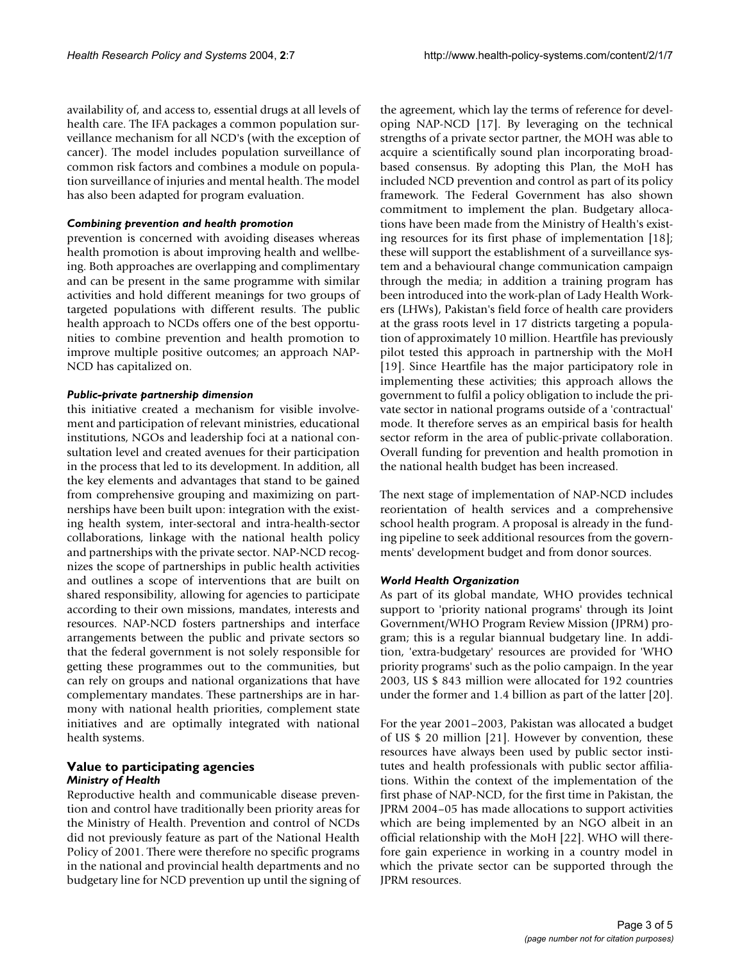availability of, and access to, essential drugs at all levels of health care. The IFA packages a common population surveillance mechanism for all NCD's (with the exception of cancer). The model includes population surveillance of common risk factors and combines a module on population surveillance of injuries and mental health. The model has also been adapted for program evaluation.

#### *Combining prevention and health promotion*

prevention is concerned with avoiding diseases whereas health promotion is about improving health and wellbeing. Both approaches are overlapping and complimentary and can be present in the same programme with similar activities and hold different meanings for two groups of targeted populations with different results. The public health approach to NCDs offers one of the best opportunities to combine prevention and health promotion to improve multiple positive outcomes; an approach NAP-NCD has capitalized on.

#### *Public-private partnership dimension*

this initiative created a mechanism for visible involvement and participation of relevant ministries, educational institutions, NGOs and leadership foci at a national consultation level and created avenues for their participation in the process that led to its development. In addition, all the key elements and advantages that stand to be gained from comprehensive grouping and maximizing on partnerships have been built upon: integration with the existing health system, inter-sectoral and intra-health-sector collaborations, linkage with the national health policy and partnerships with the private sector. NAP-NCD recognizes the scope of partnerships in public health activities and outlines a scope of interventions that are built on shared responsibility, allowing for agencies to participate according to their own missions, mandates, interests and resources. NAP-NCD fosters partnerships and interface arrangements between the public and private sectors so that the federal government is not solely responsible for getting these programmes out to the communities, but can rely on groups and national organizations that have complementary mandates. These partnerships are in harmony with national health priorities, complement state initiatives and are optimally integrated with national health systems.

#### **Value to participating agencies** *Ministry of Health*

Reproductive health and communicable disease prevention and control have traditionally been priority areas for the Ministry of Health. Prevention and control of NCDs did not previously feature as part of the National Health Policy of 2001. There were therefore no specific programs in the national and provincial health departments and no budgetary line for NCD prevention up until the signing of the agreement, which lay the terms of reference for developing NAP-NCD [17]. By leveraging on the technical strengths of a private sector partner, the MOH was able to acquire a scientifically sound plan incorporating broadbased consensus. By adopting this Plan, the MoH has included NCD prevention and control as part of its policy framework. The Federal Government has also shown commitment to implement the plan. Budgetary allocations have been made from the Ministry of Health's existing resources for its first phase of implementation [18]; these will support the establishment of a surveillance system and a behavioural change communication campaign through the media; in addition a training program has been introduced into the work-plan of Lady Health Workers (LHWs), Pakistan's field force of health care providers at the grass roots level in 17 districts targeting a population of approximately 10 million. Heartfile has previously pilot tested this approach in partnership with the MoH [19]. Since Heartfile has the major participatory role in implementing these activities; this approach allows the government to fulfil a policy obligation to include the private sector in national programs outside of a 'contractual' mode. It therefore serves as an empirical basis for health sector reform in the area of public-private collaboration. Overall funding for prevention and health promotion in the national health budget has been increased.

The next stage of implementation of NAP-NCD includes reorientation of health services and a comprehensive school health program. A proposal is already in the funding pipeline to seek additional resources from the governments' development budget and from donor sources.

#### *World Health Organization*

As part of its global mandate, WHO provides technical support to 'priority national programs' through its Joint Government/WHO Program Review Mission (JPRM) program; this is a regular biannual budgetary line. In addition, 'extra-budgetary' resources are provided for 'WHO priority programs' such as the polio campaign. In the year 2003, US \$ 843 million were allocated for 192 countries under the former and 1.4 billion as part of the latter [20].

For the year 2001–2003, Pakistan was allocated a budget of US \$ 20 million [21]. However by convention, these resources have always been used by public sector institutes and health professionals with public sector affiliations. Within the context of the implementation of the first phase of NAP-NCD, for the first time in Pakistan, the JPRM 2004–05 has made allocations to support activities which are being implemented by an NGO albeit in an official relationship with the MoH [22]. WHO will therefore gain experience in working in a country model in which the private sector can be supported through the JPRM resources.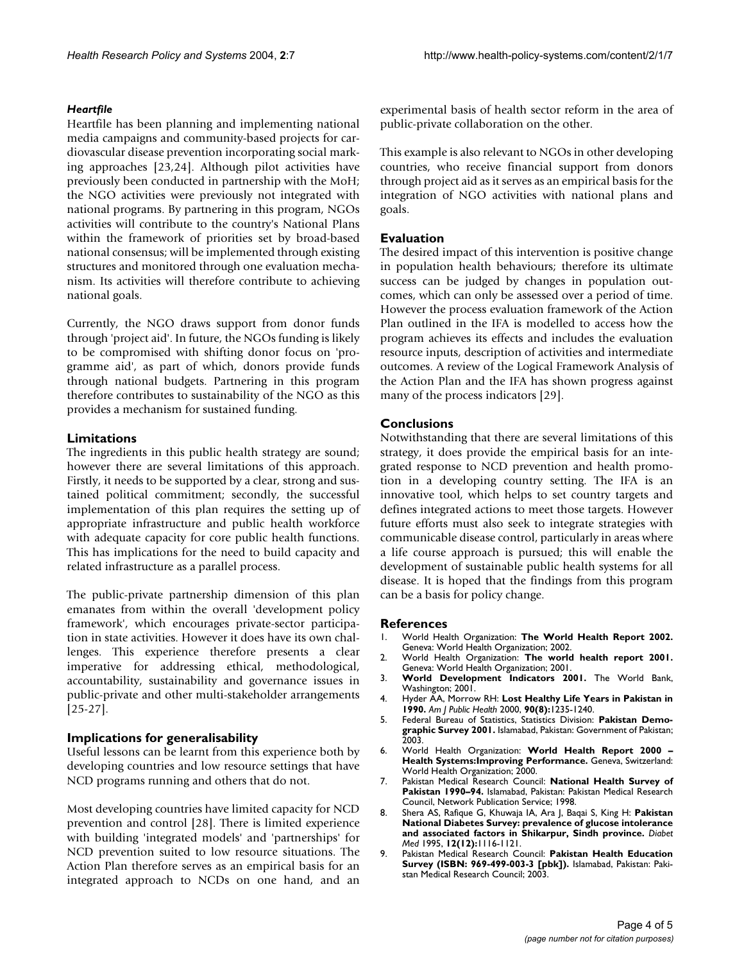#### *Heartfile*

Heartfile has been planning and implementing national media campaigns and community-based projects for cardiovascular disease prevention incorporating social marking approaches [23,24]. Although pilot activities have previously been conducted in partnership with the MoH; the NGO activities were previously not integrated with national programs. By partnering in this program, NGOs activities will contribute to the country's National Plans within the framework of priorities set by broad-based national consensus; will be implemented through existing structures and monitored through one evaluation mechanism. Its activities will therefore contribute to achieving national goals.

Currently, the NGO draws support from donor funds through 'project aid'. In future, the NGOs funding is likely to be compromised with shifting donor focus on 'programme aid', as part of which, donors provide funds through national budgets. Partnering in this program therefore contributes to sustainability of the NGO as this provides a mechanism for sustained funding.

#### **Limitations**

The ingredients in this public health strategy are sound; however there are several limitations of this approach. Firstly, it needs to be supported by a clear, strong and sustained political commitment; secondly, the successful implementation of this plan requires the setting up of appropriate infrastructure and public health workforce with adequate capacity for core public health functions. This has implications for the need to build capacity and related infrastructure as a parallel process.

The public-private partnership dimension of this plan emanates from within the overall 'development policy framework', which encourages private-sector participation in state activities. However it does have its own challenges. This experience therefore presents a clear imperative for addressing ethical, methodological, accountability, sustainability and governance issues in public-private and other multi-stakeholder arrangements [25-27].

#### **Implications for generalisability**

Useful lessons can be learnt from this experience both by developing countries and low resource settings that have NCD programs running and others that do not.

Most developing countries have limited capacity for NCD prevention and control [28]. There is limited experience with building 'integrated models' and 'partnerships' for NCD prevention suited to low resource situations. The Action Plan therefore serves as an empirical basis for an integrated approach to NCDs on one hand, and an experimental basis of health sector reform in the area of public-private collaboration on the other.

This example is also relevant to NGOs in other developing countries, who receive financial support from donors through project aid as it serves as an empirical basis for the integration of NGO activities with national plans and goals.

#### **Evaluation**

The desired impact of this intervention is positive change in population health behaviours; therefore its ultimate success can be judged by changes in population outcomes, which can only be assessed over a period of time. However the process evaluation framework of the Action Plan outlined in the IFA is modelled to access how the program achieves its effects and includes the evaluation resource inputs, description of activities and intermediate outcomes. A review of the Logical Framework Analysis of the Action Plan and the IFA has shown progress against many of the process indicators [29].

#### **Conclusions**

Notwithstanding that there are several limitations of this strategy, it does provide the empirical basis for an integrated response to NCD prevention and health promotion in a developing country setting. The IFA is an innovative tool, which helps to set country targets and defines integrated actions to meet those targets. However future efforts must also seek to integrate strategies with communicable disease control, particularly in areas where a life course approach is pursued; this will enable the development of sustainable public health systems for all disease. It is hoped that the findings from this program can be a basis for policy change.

#### **References**

- 1. World Health Organization: **The World Health Report 2002.** Geneva: World Health Organization; 2002.
- 2. World Health Organization: **The world health report 2001.** Geneva: World Health Organization; 2001.
- 3. **World Development Indicators 2001.** The World Bank, Washington; 2001.
- 4. Hyder AA, Morrow RH: **[Lost Healthy Life Years in Pakistan in](http://www.ncbi.nlm.nih.gov/entrez/query.fcgi?cmd=Retrieve&db=PubMed&dopt=Abstract&list_uids=10937003) [1990.](http://www.ncbi.nlm.nih.gov/entrez/query.fcgi?cmd=Retrieve&db=PubMed&dopt=Abstract&list_uids=10937003)** *Am J Public Health* 2000, **90(8):**1235-1240.
- 5. Federal Bureau of Statistics, Statistics Division: **Pakistan Demographic Survey 2001.** Islamabad, Pakistan: Government of Pakistan; 2003.
- 6. World Health Organization: **World Health Report 2000 – Health Systems:Improving Performance.** Geneva, Switzerland: World Health Organization; 2000.
- 7. Pakistan Medical Research Council: **National Health Survey of Pakistan 1990–94.** Islamabad, Pakistan: Pakistan Medical Research Council, Network Publication Service; 1998.
- 8. Shera AS, Rafique G, Khuwaja IA, Ara J, Baqai S, King H: **[Pakistan](http://www.ncbi.nlm.nih.gov/entrez/query.fcgi?cmd=Retrieve&db=PubMed&dopt=Abstract&list_uids=8750223) [National Diabetes Survey: prevalence of glucose intolerance](http://www.ncbi.nlm.nih.gov/entrez/query.fcgi?cmd=Retrieve&db=PubMed&dopt=Abstract&list_uids=8750223) [and associated factors in Shikarpur, Sindh province.](http://www.ncbi.nlm.nih.gov/entrez/query.fcgi?cmd=Retrieve&db=PubMed&dopt=Abstract&list_uids=8750223)** *Diabet Med* 1995, **12(12):**1116-1121.
- 9. Pakistan Medical Research Council: **Pakistan Health Education Survey (ISBN: 969-499-003-3 [pbk]).** Islamabad, Pakistan: Pakistan Medical Research Council; 2003.